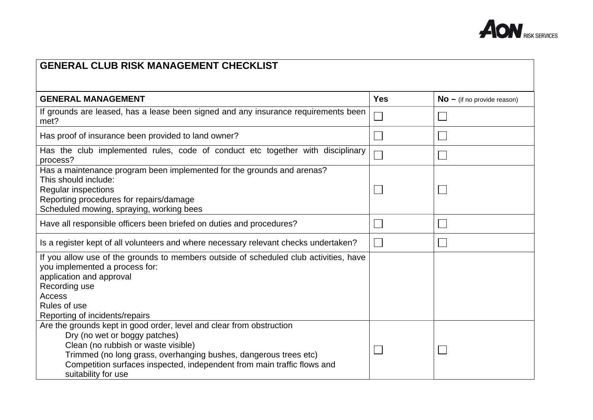

## **GENERAL CLUB RISK MANAGEMENT CHECKLISTGENERAL MANAGEMENT SERVITE SERVITE SERVITE SERVITE SERVITE SERVITE SERVITE SERVITE SERVITE SERVITE SERVITE SERVITE SERVITE SERVITE SERVITE SERVITE SERVITE SERVITE SERVITE SERVITE SERVITE SERVITE SERVITE SERVITE SERVITE** If grounds are leased, has a lease been signed and any insurance requirements been  $\Box$  $\Box$ met? Has proof of insurance been provided to land owner?  $\Box$ Has the club implemented rules, code of conduct etc together with disciplinary process? Has a maintenance program been implemented for the grounds and arenas? This should include: Regular inspections П  $\Box$ Reporting procedures for repairs/damage Scheduled mowing, spraying, working bees Have all responsible officers been briefed on duties and procedures?  $\Box$ Is a register kept of all volunteers and where necessary relevant checks undertaken?  $\Box$ If you allow use of the grounds to members outside of scheduled club activities, have you implemented a process for: application and approval Recording use Access Rules of use Reporting of incidents/repairs Are the grounds kept in good order, level and clear from obstruction Dry (no wet or boggy patches) Clean (no rubbish or waste visible)  $\overline{\phantom{a}}$  Trimmed (no long grass, overhanging bushes, dangerous trees etc) Competition surfaces inspected, independent from main traffic flows and suitability for use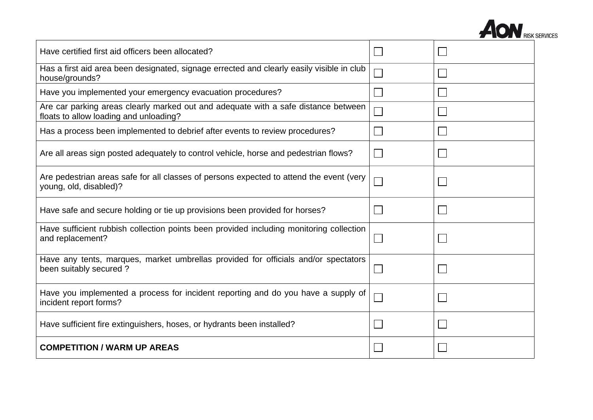

| Have certified first aid officers been allocated?                                                                            |  |
|------------------------------------------------------------------------------------------------------------------------------|--|
| Has a first aid area been designated, signage errected and clearly easily visible in club<br>house/grounds?                  |  |
| Have you implemented your emergency evacuation procedures?                                                                   |  |
| Are car parking areas clearly marked out and adequate with a safe distance between<br>floats to allow loading and unloading? |  |
| Has a process been implemented to debrief after events to review procedures?                                                 |  |
| Are all areas sign posted adequately to control vehicle, horse and pedestrian flows?                                         |  |
| Are pedestrian areas safe for all classes of persons expected to attend the event (very<br>young, old, disabled)?            |  |
| Have safe and secure holding or tie up provisions been provided for horses?                                                  |  |
| Have sufficient rubbish collection points been provided including monitoring collection<br>and replacement?                  |  |
| Have any tents, marques, market umbrellas provided for officials and/or spectators<br>been suitably secured?                 |  |
| Have you implemented a process for incident reporting and do you have a supply of<br>incident report forms?                  |  |
| Have sufficient fire extinguishers, hoses, or hydrants been installed?                                                       |  |
| <b>COMPETITION / WARM UP AREAS</b>                                                                                           |  |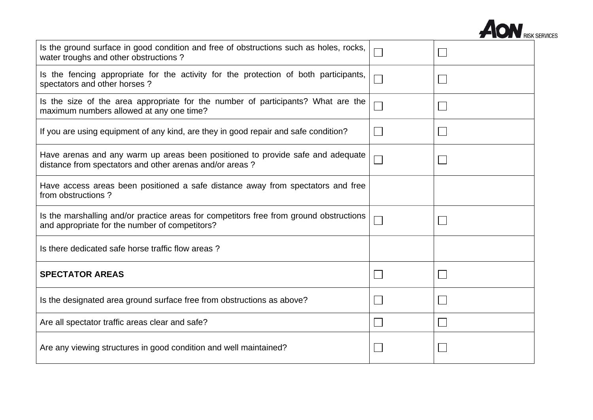

| Is the ground surface in good condition and free of obstructions such as holes, rocks,<br>water troughs and other obstructions?           |  |
|-------------------------------------------------------------------------------------------------------------------------------------------|--|
| Is the fencing appropriate for the activity for the protection of both participants,<br>spectators and other horses?                      |  |
| Is the size of the area appropriate for the number of participants? What are the<br>maximum numbers allowed at any one time?              |  |
| If you are using equipment of any kind, are they in good repair and safe condition?                                                       |  |
| Have arenas and any warm up areas been positioned to provide safe and adequate<br>distance from spectators and other arenas and/or areas? |  |
| Have access areas been positioned a safe distance away from spectators and free<br>from obstructions?                                     |  |
| Is the marshalling and/or practice areas for competitors free from ground obstructions<br>and appropriate for the number of competitors?  |  |
| Is there dedicated safe horse traffic flow areas?                                                                                         |  |
| <b>SPECTATOR AREAS</b>                                                                                                                    |  |
| Is the designated area ground surface free from obstructions as above?                                                                    |  |
| Are all spectator traffic areas clear and safe?                                                                                           |  |
| Are any viewing structures in good condition and well maintained?                                                                         |  |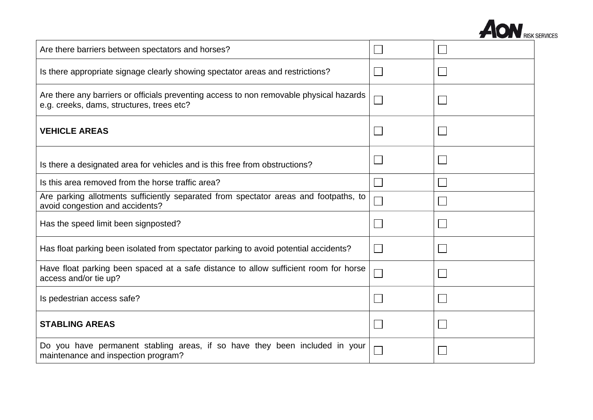

| Are there barriers between spectators and horses?                                                                                    |  |
|--------------------------------------------------------------------------------------------------------------------------------------|--|
| Is there appropriate signage clearly showing spectator areas and restrictions?                                                       |  |
| Are there any barriers or officials preventing access to non removable physical hazards<br>e.g. creeks, dams, structures, trees etc? |  |
| <b>VEHICLE AREAS</b>                                                                                                                 |  |
| Is there a designated area for vehicles and is this free from obstructions?                                                          |  |
| Is this area removed from the horse traffic area?                                                                                    |  |
| Are parking allotments sufficiently separated from spectator areas and footpaths, to<br>avoid congestion and accidents?              |  |
| Has the speed limit been signposted?                                                                                                 |  |
| Has float parking been isolated from spectator parking to avoid potential accidents?                                                 |  |
| Have float parking been spaced at a safe distance to allow sufficient room for horse<br>access and/or tie up?                        |  |
| Is pedestrian access safe?                                                                                                           |  |
| <b>STABLING AREAS</b>                                                                                                                |  |
| Do you have permanent stabling areas, if so have they been included in your<br>maintenance and inspection program?                   |  |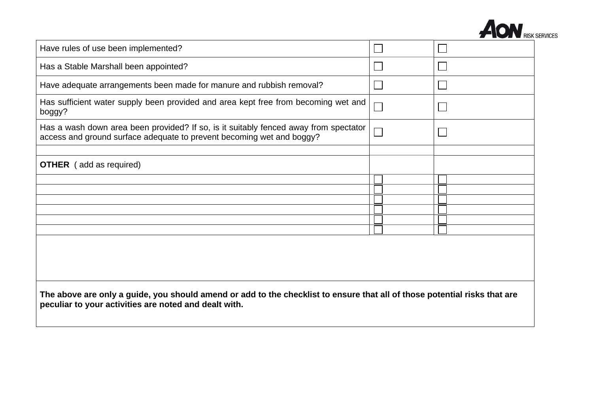

| Have rules of use been implemented?                                                                                                                                                |  |  |
|------------------------------------------------------------------------------------------------------------------------------------------------------------------------------------|--|--|
| Has a Stable Marshall been appointed?                                                                                                                                              |  |  |
| Have adequate arrangements been made for manure and rubbish removal?                                                                                                               |  |  |
| Has sufficient water supply been provided and area kept free from becoming wet and<br>boggy?                                                                                       |  |  |
| Has a wash down area been provided? If so, is it suitably fenced away from spectator<br>access and ground surface adequate to prevent becoming wet and boggy?                      |  |  |
|                                                                                                                                                                                    |  |  |
| <b>OTHER</b> (add as required)                                                                                                                                                     |  |  |
|                                                                                                                                                                                    |  |  |
|                                                                                                                                                                                    |  |  |
|                                                                                                                                                                                    |  |  |
|                                                                                                                                                                                    |  |  |
|                                                                                                                                                                                    |  |  |
|                                                                                                                                                                                    |  |  |
|                                                                                                                                                                                    |  |  |
| The above are only a guide, you should amend or add to the checklist to ensure that all of those potential risks that are<br>peculiar to your activities are noted and dealt with. |  |  |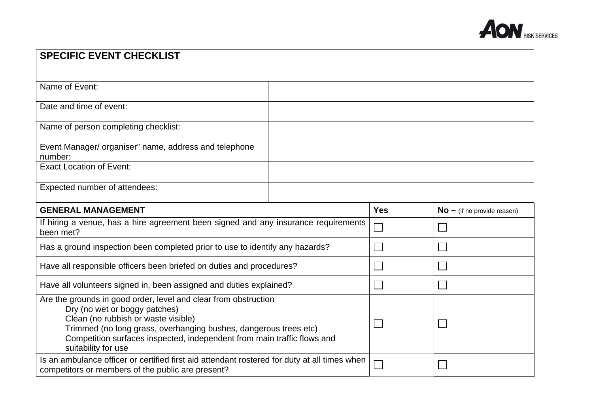

| <b>SPECIFIC EVENT CHECKLIST</b>                                                                                                                                                                                                                                                                               |            |                               |
|---------------------------------------------------------------------------------------------------------------------------------------------------------------------------------------------------------------------------------------------------------------------------------------------------------------|------------|-------------------------------|
|                                                                                                                                                                                                                                                                                                               |            |                               |
| Name of Event:                                                                                                                                                                                                                                                                                                |            |                               |
| Date and time of event:                                                                                                                                                                                                                                                                                       |            |                               |
| Name of person completing checklist:                                                                                                                                                                                                                                                                          |            |                               |
| Event Manager/ organiser" name, address and telephone<br>number:                                                                                                                                                                                                                                              |            |                               |
| <b>Exact Location of Event:</b>                                                                                                                                                                                                                                                                               |            |                               |
| Expected number of attendees:                                                                                                                                                                                                                                                                                 |            |                               |
| <b>GENERAL MANAGEMENT</b>                                                                                                                                                                                                                                                                                     | <b>Yes</b> | $No - (if no provide reason)$ |
| If hiring a venue, has a hire agreement been signed and any insurance requirements<br>been met?                                                                                                                                                                                                               |            |                               |
| Has a ground inspection been completed prior to use to identify any hazards?                                                                                                                                                                                                                                  |            |                               |
| Have all responsible officers been briefed on duties and procedures?                                                                                                                                                                                                                                          |            |                               |
| Have all volunteers signed in, been assigned and duties explained?                                                                                                                                                                                                                                            |            |                               |
| Are the grounds in good order, level and clear from obstruction<br>Dry (no wet or boggy patches)<br>Clean (no rubbish or waste visible)<br>Trimmed (no long grass, overhanging bushes, dangerous trees etc)<br>Competition surfaces inspected, independent from main traffic flows and<br>suitability for use |            |                               |
| Is an ambulance officer or certified first aid attendant rostered for duty at all times when<br>competitors or members of the public are present?                                                                                                                                                             |            |                               |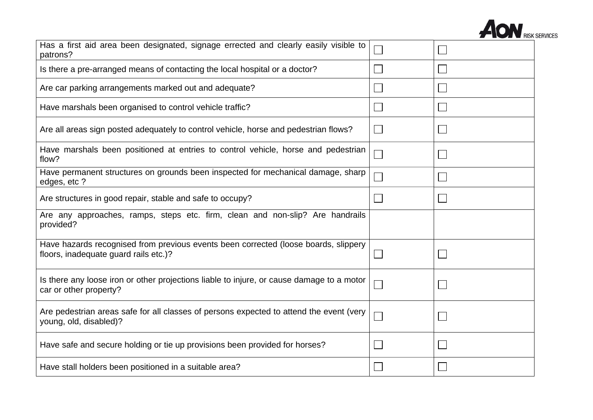

| Has a first aid area been designated, signage errected and clearly easily visible to<br>patrons?                             |  |
|------------------------------------------------------------------------------------------------------------------------------|--|
| Is there a pre-arranged means of contacting the local hospital or a doctor?                                                  |  |
| Are car parking arrangements marked out and adequate?                                                                        |  |
| Have marshals been organised to control vehicle traffic?                                                                     |  |
| Are all areas sign posted adequately to control vehicle, horse and pedestrian flows?                                         |  |
| Have marshals been positioned at entries to control vehicle, horse and pedestrian<br>flow?                                   |  |
| Have permanent structures on grounds been inspected for mechanical damage, sharp<br>edges, etc ?                             |  |
| Are structures in good repair, stable and safe to occupy?                                                                    |  |
| Are any approaches, ramps, steps etc. firm, clean and non-slip? Are handrails<br>provided?                                   |  |
| Have hazards recognised from previous events been corrected (loose boards, slippery<br>floors, inadequate guard rails etc.)? |  |
| Is there any loose iron or other projections liable to injure, or cause damage to a motor<br>car or other property?          |  |
| Are pedestrian areas safe for all classes of persons expected to attend the event (very<br>young, old, disabled)?            |  |
| Have safe and secure holding or tie up provisions been provided for horses?                                                  |  |
| Have stall holders been positioned in a suitable area?                                                                       |  |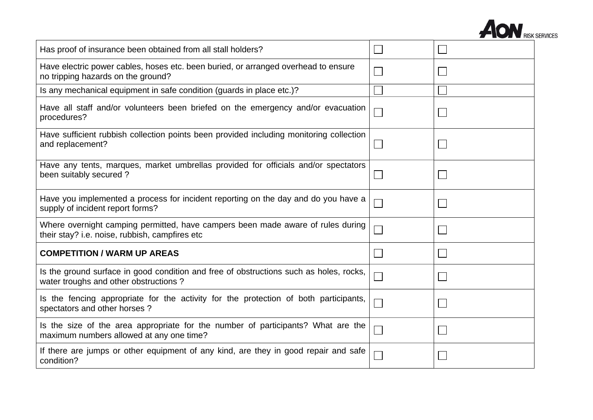

| Has proof of insurance been obtained from all stall holders?                                                                      |  |
|-----------------------------------------------------------------------------------------------------------------------------------|--|
| Have electric power cables, hoses etc. been buried, or arranged overhead to ensure<br>no tripping hazards on the ground?          |  |
| Is any mechanical equipment in safe condition (guards in place etc.)?                                                             |  |
| Have all staff and/or volunteers been briefed on the emergency and/or evacuation<br>procedures?                                   |  |
| Have sufficient rubbish collection points been provided including monitoring collection<br>and replacement?                       |  |
| Have any tents, marques, market umbrellas provided for officials and/or spectators<br>been suitably secured?                      |  |
| Have you implemented a process for incident reporting on the day and do you have a<br>supply of incident report forms?            |  |
| Where overnight camping permitted, have campers been made aware of rules during<br>their stay? i.e. noise, rubbish, campfires etc |  |
| <b>COMPETITION / WARM UP AREAS</b>                                                                                                |  |
| Is the ground surface in good condition and free of obstructions such as holes, rocks,<br>water troughs and other obstructions?   |  |
| Is the fencing appropriate for the activity for the protection of both participants,<br>spectators and other horses?              |  |
| Is the size of the area appropriate for the number of participants? What are the<br>maximum numbers allowed at any one time?      |  |
| If there are jumps or other equipment of any kind, are they in good repair and safe<br>condition?                                 |  |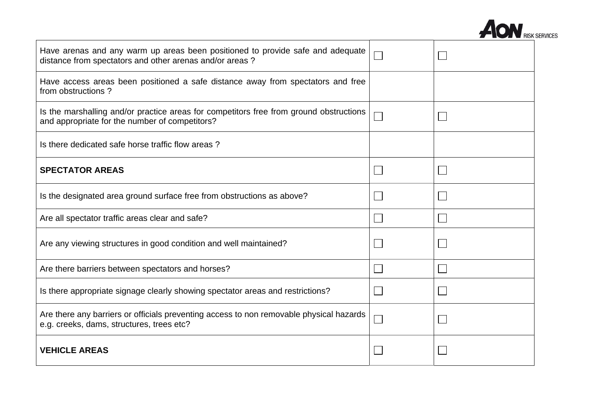

| Have arenas and any warm up areas been positioned to provide safe and adequate<br>distance from spectators and other arenas and/or areas? |  |
|-------------------------------------------------------------------------------------------------------------------------------------------|--|
| Have access areas been positioned a safe distance away from spectators and free<br>from obstructions?                                     |  |
| Is the marshalling and/or practice areas for competitors free from ground obstructions<br>and appropriate for the number of competitors?  |  |
| Is there dedicated safe horse traffic flow areas?                                                                                         |  |
| <b>SPECTATOR AREAS</b>                                                                                                                    |  |
| Is the designated area ground surface free from obstructions as above?                                                                    |  |
| Are all spectator traffic areas clear and safe?                                                                                           |  |
| Are any viewing structures in good condition and well maintained?                                                                         |  |
| Are there barriers between spectators and horses?                                                                                         |  |
| Is there appropriate signage clearly showing spectator areas and restrictions?                                                            |  |
| Are there any barriers or officials preventing access to non removable physical hazards<br>e.g. creeks, dams, structures, trees etc?      |  |
| <b>VEHICLE AREAS</b>                                                                                                                      |  |

 $\mathsf{r}$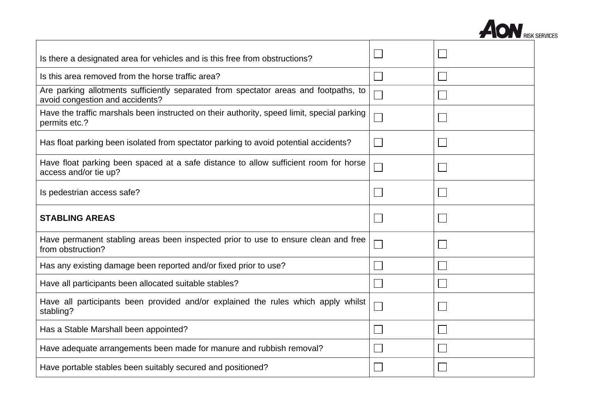

| Is there a designated area for vehicles and is this free from obstructions?                                             |        |  |
|-------------------------------------------------------------------------------------------------------------------------|--------|--|
| Is this area removed from the horse traffic area?                                                                       |        |  |
| Are parking allotments sufficiently separated from spectator areas and footpaths, to<br>avoid congestion and accidents? |        |  |
| Have the traffic marshals been instructed on their authority, speed limit, special parking<br>permits etc.?             |        |  |
| Has float parking been isolated from spectator parking to avoid potential accidents?                                    | $\sim$ |  |
| Have float parking been spaced at a safe distance to allow sufficient room for horse<br>access and/or tie up?           |        |  |
| Is pedestrian access safe?                                                                                              |        |  |
| <b>STABLING AREAS</b>                                                                                                   |        |  |
| Have permanent stabling areas been inspected prior to use to ensure clean and free<br>from obstruction?                 |        |  |
| Has any existing damage been reported and/or fixed prior to use?                                                        |        |  |
| Have all participants been allocated suitable stables?                                                                  |        |  |
|                                                                                                                         |        |  |
| Have all participants been provided and/or explained the rules which apply whilst<br>stabling?                          |        |  |
| Has a Stable Marshall been appointed?                                                                                   |        |  |
| Have adequate arrangements been made for manure and rubbish removal?                                                    |        |  |